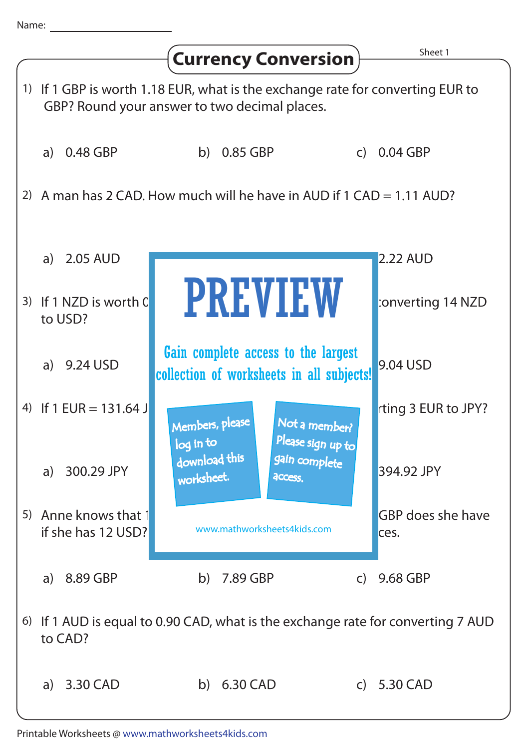